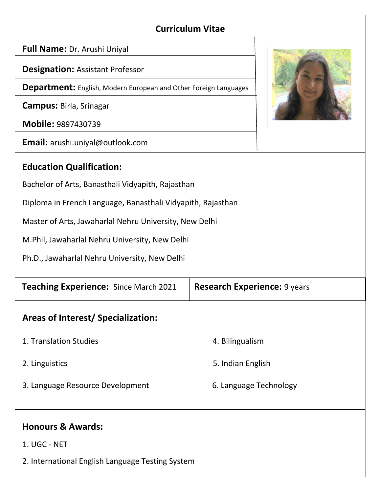### **Curriculum Vitae**

**Full Name:** Dr. Arushi Uniyal

**Designation:** Assistant Professor

**Department:** English, Modern European and Other Foreign Languages

**Campus:** Birla, Srinagar

**Mobile:** 9897430739

**Email:** arushi.uniyal@outlook.com

### **Education Qualification:**

Bachelor of Arts, Banasthali Vidyapith, Rajasthan

Diploma in French Language, Banasthali Vidyapith, Rajasthan

Master of Arts, Jawaharlal Nehru University, New Delhi

M.Phil, Jawaharlal Nehru University, New Delhi

Ph.D., Jawaharlal Nehru University, New Delhi

| <b>Teaching Experience:</b> Since March 2021 | <b>Research Experience: 9 years</b> |
|----------------------------------------------|-------------------------------------|
| Areas of Interest/Specialization:            |                                     |
| 1. Translation Studies                       | 4. Bilingualism                     |
| 2. Linguistics                               | 5. Indian English                   |
| 3. Language Resource Development             | 6. Language Technology              |
|                                              |                                     |
| <b>Honours &amp; Awards:</b>                 |                                     |
| 1. UGC - NET                                 |                                     |



2. International English Language Testing System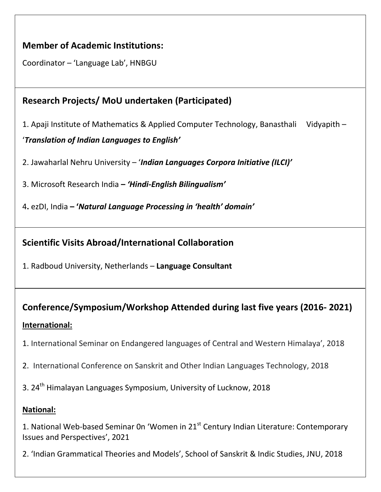#### **Member of Academic Institutions:**

Coordinator – 'Language Lab', HNBGU

# **Research Projects/ MoU undertaken (Participated)**

1. Apaji Institute of Mathematics & Applied Computer Technology, Banasthali Vidyapith –

'*Translation of Indian Languages to English'*

2. Jawaharlal Nehru University – '*Indian Languages Corpora Initiative (ILCI)'*

3. Microsoft Research India **–** *'Hindi-English Bilingualism'*

4**.** ezDI, India **– '***Natural Language Processing in 'health' domain'*

### **Scientific Visits Abroad/International Collaboration**

1. Radboud University, Netherlands – **Language Consultant**

# **Conference/Symposium/Workshop Attended during last five years (2016- 2021) International:**

- 1. International Seminar on Endangered languages of Central and Western Himalaya', 2018
- 2. International Conference on Sanskrit and Other Indian Languages Technology, 2018
- 3. 24<sup>th</sup> Himalayan Languages Symposium, University of Lucknow, 2018

#### **National:**

1. National Web-based Seminar 0n 'Women in 21<sup>st</sup> Century Indian Literature: Contemporary Issues and Perspectives', 2021

2. 'Indian Grammatical Theories and Models', School of Sanskrit & Indic Studies, JNU, 2018